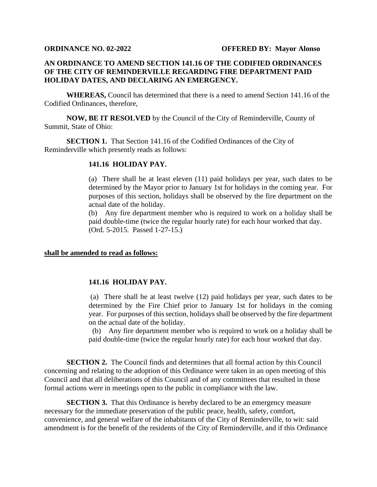## **AN ORDINANCE TO AMEND SECTION 141.16 OF THE CODIFIED ORDINANCES OF THE CITY OF REMINDERVILLE REGARDING FIRE DEPARTMENT PAID HOLIDAY DATES, AND DECLARING AN EMERGENCY.**

**WHEREAS,** Council has determined that there is a need to amend Section 141.16 of the Codified Ordinances, therefore,

**NOW, BE IT RESOLVED** by the Council of the City of Reminderville, County of Summit, State of Ohio:

**SECTION 1.** That Section 141.16 of the Codified Ordinances of the City of Reminderville which presently reads as follows:

## **141.16 HOLIDAY PAY.**

(a) There shall be at least eleven (11) paid holidays per year, such dates to be determined by the Mayor prior to January 1st for holidays in the coming year. For purposes of this section, holidays shall be observed by the fire department on the actual date of the holiday.

(b) Any fire department member who is required to work on a holiday shall be paid double-time (twice the regular hourly rate) for each hour worked that day. (Ord. 5-2015. Passed 1-27-15.)

## **shall be amended to read as follows:**

## **141.16 HOLIDAY PAY.**

(a) There shall be at least twelve (12) paid holidays per year, such dates to be determined by the Fire Chief prior to January 1st for holidays in the coming year. For purposes of this section, holidays shall be observed by the fire department on the actual date of the holiday.

(b) Any fire department member who is required to work on a holiday shall be paid double-time (twice the regular hourly rate) for each hour worked that day.

**SECTION 2.** The Council finds and determines that all formal action by this Council concerning and relating to the adoption of this Ordinance were taken in an open meeting of this Council and that all deliberations of this Council and of any committees that resulted in those formal actions were in meetings open to the public in compliance with the law.

**SECTION 3.** That this Ordinance is hereby declared to be an emergency measure necessary for the immediate preservation of the public peace, health, safety, comfort, convenience, and general welfare of the inhabitants of the City of Reminderville, to wit: said amendment is for the benefit of the residents of the City of Reminderville, and if this Ordinance